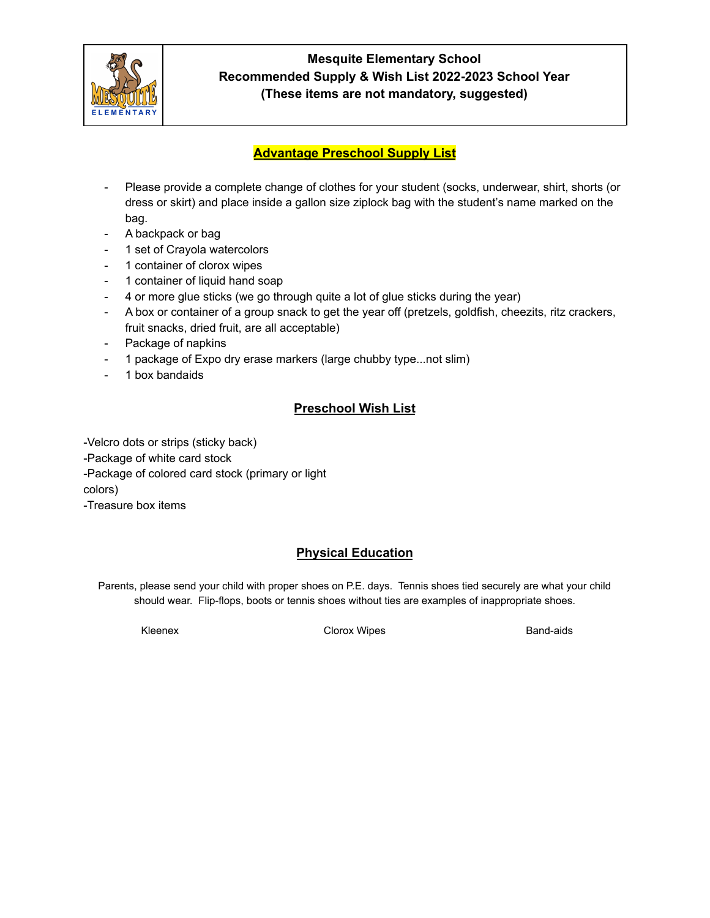

#### **Advantage Preschool Supply List**

- Please provide a complete change of clothes for your student (socks, underwear, shirt, shorts (or dress or skirt) and place inside a gallon size ziplock bag with the student's name marked on the bag.
- A backpack or bag
- 1 set of Crayola watercolors
- 1 container of clorox wipes
- 1 container of liquid hand soap
- 4 or more glue sticks (we go through quite a lot of glue sticks during the year)
- A box or container of a group snack to get the year off (pretzels, goldfish, cheezits, ritz crackers, fruit snacks, dried fruit, are all acceptable)
- Package of napkins
- 1 package of Expo dry erase markers (large chubby type...not slim)
- 1 box bandaids

#### **Preschool Wish List**

-Velcro dots or strips (sticky back) -Package of white card stock -Package of colored card stock (primary or light colors) -Treasure box items

## **Physical Education**

Parents, please send your child with proper shoes on P.E. days. Tennis shoes tied securely are what your child should wear. Flip-flops, boots or tennis shoes without ties are examples of inappropriate shoes.

Kleenex **Clorox Wipes** Clorox Clorox Clorox Clorox Clorox **Band-aids**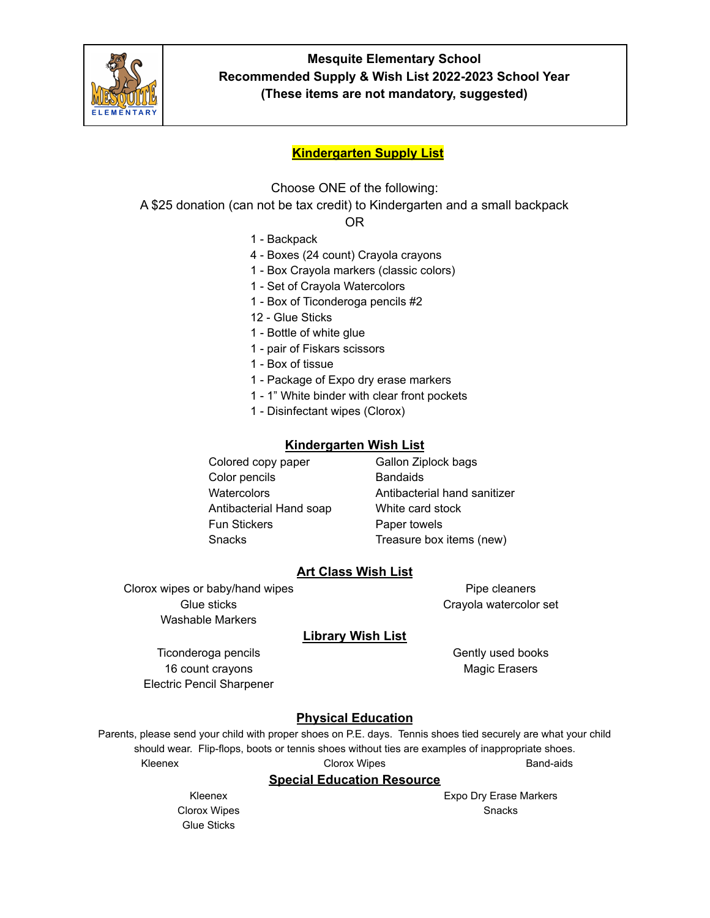

#### **Kindergarten Supply List**

Choose ONE of the following:

A \$25 donation (can not be tax credit) to Kindergarten and a small backpack

OR

- 1 Backpack
- 4 Boxes (24 count) Crayola crayons
- 1 Box Crayola markers (classic colors)
- 1 Set of Crayola Watercolors
- 1 Box of Ticonderoga pencils #2
- 12 Glue Sticks
- 1 Bottle of white glue
- 1 pair of Fiskars scissors
- 1 Box of tissue
- 1 Package of Expo dry erase markers
- 1 1" White binder with clear front pockets
- 1 Disinfectant wipes (Clorox)

#### **Kindergarten Wish List**

Colored copy paper Gallon Ziplock bags Color pencils **Bandaids** Antibacterial Hand soap White card stock Fun Stickers **Paper towels** 

Watercolors **Antibacterial hand sanitizer** Antibacterial hand sanitizer Snacks Treasure box items (new)

#### **Art Class Wish List**

Clorox wipes or baby/hand wipes Glue sticks Washable Markers

Pipe cleaners Crayola watercolor set

## **Library Wish List**

Ticonderoga pencils 16 count crayons Electric Pencil Sharpener Gently used books Magic Erasers

## **Physical Education**

Parents, please send your child with proper shoes on P.E. days. Tennis shoes tied securely are what your child should wear. Flip-flops, boots or tennis shoes without ties are examples of inappropriate shoes. Kleenex **Clorox Wipes** Clorox Clorox Clorox Clorox Clorox **Band-aids** 

#### **Special Education Resource**

Kleenex Clorox Wipes Glue Sticks

Expo Dry Erase Markers Snacks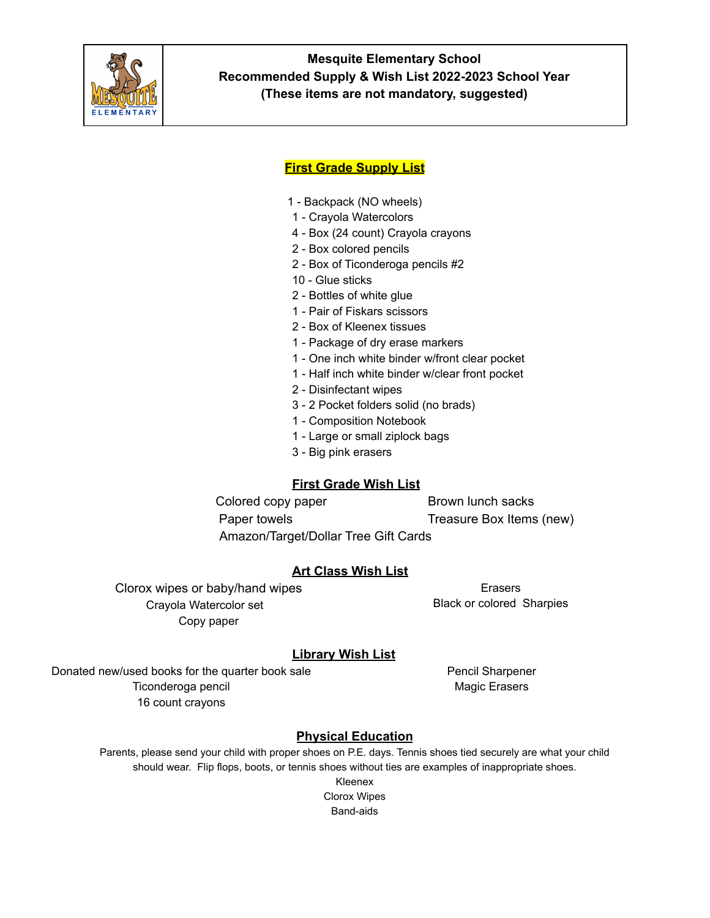

#### **First Grade Supply List**

- 1 Backpack (NO wheels)
- 1 Crayola Watercolors
- 4 Box (24 count) Crayola crayons
- 2 Box colored pencils
- 2 Box of Ticonderoga pencils #2
- 10 Glue sticks
- 2 Bottles of white glue
- 1 Pair of Fiskars scissors
- 2 Box of Kleenex tissues
- 1 Package of dry erase markers
- 1 One inch white binder w/front clear pocket
- 1 Half inch white binder w/clear front pocket
- 2 Disinfectant wipes
- 3 2 Pocket folders solid (no brads)
- 1 Composition Notebook
- 1 Large or small ziplock bags
- 3 Big pink erasers

## **First Grade Wish List**

Colored copy paper Brown lunch sacks Paper towels Treasure Box Items (new) Amazon/Target/Dollar Tree Gift Cards

## **Art Class Wish List**

Clorox wipes or baby/hand wipes Crayola Watercolor set Copy paper

Erasers Black or colored Sharpies

## **Library Wish List**

Donated new/used books for the quarter book sale Ticonderoga pencil 16 count crayons

Pencil Sharpener Magic Erasers

# **Physical Education**

Parents, please send your child with proper shoes on P.E. days. Tennis shoes tied securely are what your child should wear. Flip flops, boots, or tennis shoes without ties are examples of inappropriate shoes.

> Kleenex Clorox Wipes Band-aids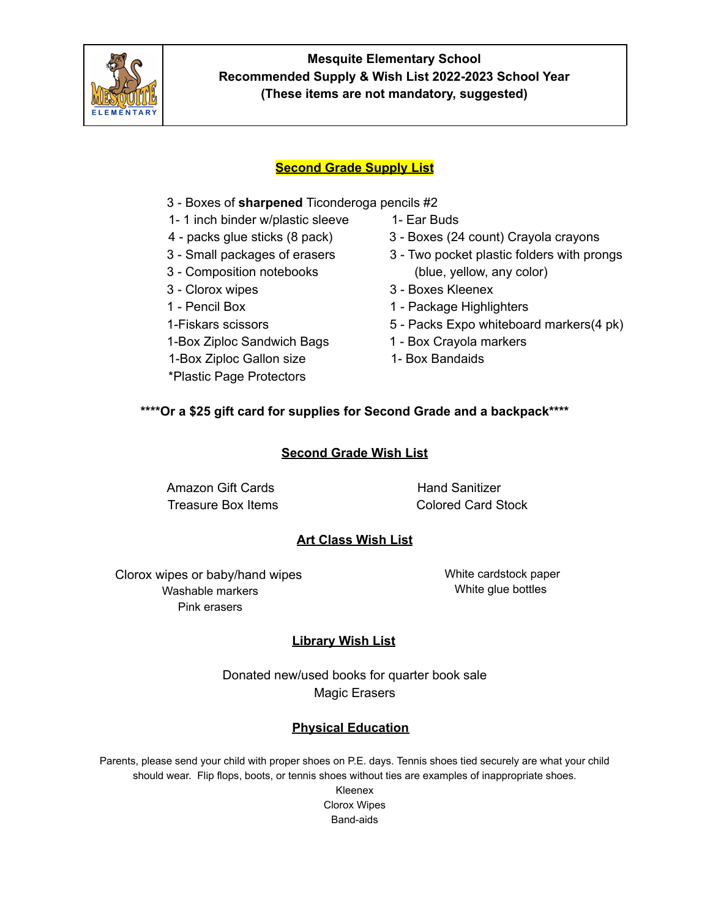

## **Second Grade Supply List**

- 3 Boxes of **sharpened** Ticonderoga pencils #2
- 1- 1 inch binder w/plastic sleeve 1- Ear Buds
- 
- 
- 
- 
- 
- 
- 1-Box Ziploc Sandwich Bags 1 Box Crayola markers
- 1-Box Ziploc Gallon size 1- Box Bandaids
- \*Plastic Page Protectors
- 
- 4 packs glue sticks (8 pack) 3 Boxes (24 count) Crayola crayons
- 3 Small packages of erasers 3 Two pocket plastic folders with prongs 3 - Composition notebooks (blue, yellow, any color)
- 3 Clorox wipes 3 Boxes Kleenex
- 1 Pencil Box 1 Package Highlighters
- 1-Fiskars scissors 5 Packs Expo whiteboard markers(4 pk)
	-
	-

## **\*\*\*\*Or a \$25 gift card for supplies for Second Grade and a backpack\*\*\*\***

#### **Second Grade Wish List**

Amazon Gift Cards **Hand Sanitizer** 

Treasure Box Items **Colored Card Stock** 

## **Art Class Wish List**

Clorox wipes or baby/hand wipes Washable markers Pink erasers

White cardstock paper White glue bottles

# **Library Wish List**

Donated new/used books for quarter book sale Magic Erasers

## **Physical Education**

Parents, please send your child with proper shoes on P.E. days. Tennis shoes tied securely are what your child should wear. Flip flops, boots, or tennis shoes without ties are examples of inappropriate shoes.

Kleenex Clorox Wipes Band-aids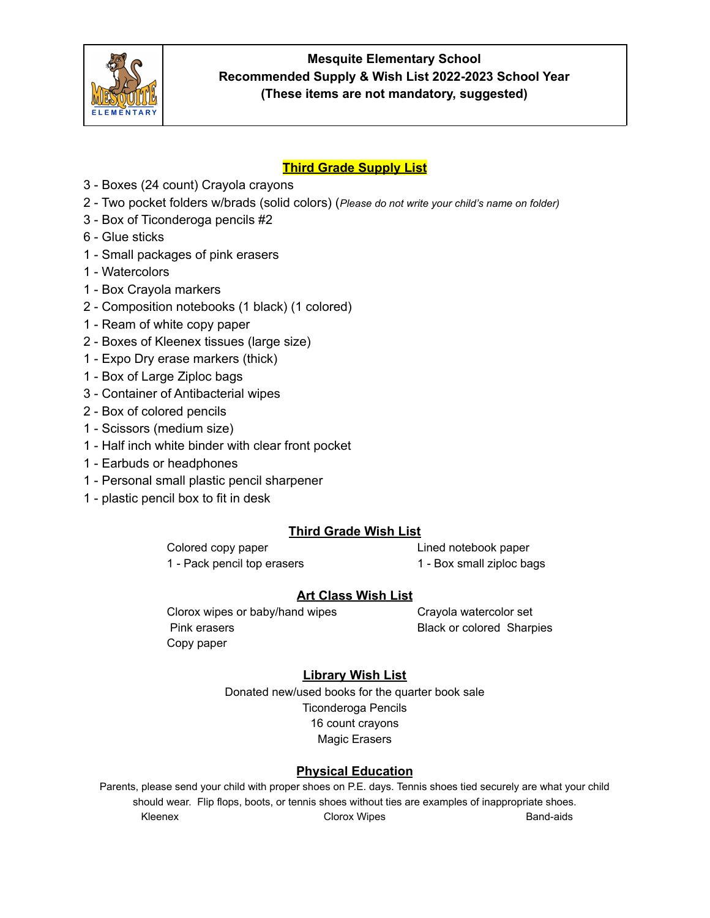

# **Third Grade Supply List**

- 3 Boxes (24 count) Crayola crayons
- 2 Two pocket folders w/brads (solid colors) (*Please do not write your child's name on folder)*
- 3 Box of Ticonderoga pencils #2
- 6 Glue sticks
- 1 Small packages of pink erasers
- 1 Watercolors
- 1 Box Crayola markers
- 2 Composition notebooks (1 black) (1 colored)
- 1 Ream of white copy paper
- 2 Boxes of Kleenex tissues (large size)
- 1 Expo Dry erase markers (thick)
- 1 Box of Large Ziploc bags
- 3 Container of Antibacterial wipes
- 2 Box of colored pencils
- 1 Scissors (medium size)
- 1 Half inch white binder with clear front pocket
- 1 Earbuds or headphones
- 1 Personal small plastic pencil sharpener
- 1 plastic pencil box to fit in desk

# **Third Grade Wish List**

Colored copy paper Lined notebook paper 1 - Pack pencil top erasers 1 - Box small ziploc bags

## **Art Class Wish List**

Clorox wipes or baby/hand wipes Crayola watercolor set Pink erasers **Black or colored Sharpies** Copy paper

# **Library Wish List**

Donated new/used books for the quarter book sale Ticonderoga Pencils 16 count crayons Magic Erasers

# **Physical Education**

Parents, please send your child with proper shoes on P.E. days. Tennis shoes tied securely are what your child should wear. Flip flops, boots, or tennis shoes without ties are examples of inappropriate shoes. Kleenex **Clorox Wipes** Corox Communications and Band-aids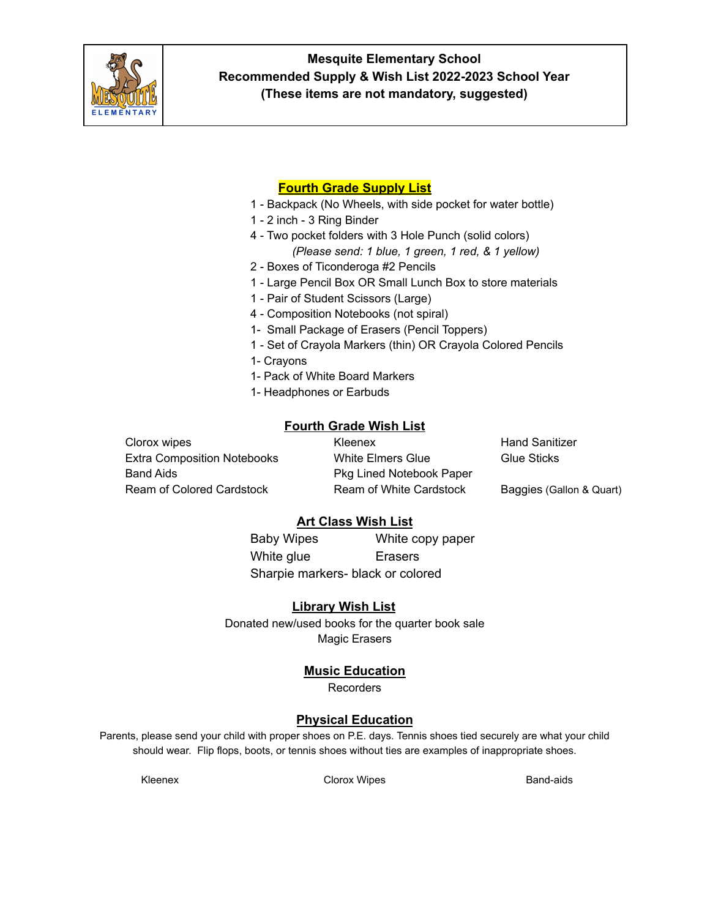

# **Fourth Grade Supply List**

- 1 Backpack (No Wheels, with side pocket for water bottle)
- 1 2 inch 3 Ring Binder
- 4 Two pocket folders with 3 Hole Punch (solid colors) *(Please send: 1 blue, 1 green, 1 red, & 1 yellow)*
- 2 Boxes of Ticonderoga #2 Pencils
- 1 Large Pencil Box OR Small Lunch Box to store materials
- 1 Pair of Student Scissors (Large)
- 4 Composition Notebooks (not spiral)
- 1- Small Package of Erasers (Pencil Toppers)
- 1 Set of Crayola Markers (thin) OR Crayola Colored Pencils
- 1- Crayons
- 1- Pack of White Board Markers
- 1- Headphones or Earbuds

#### **Fourth Grade Wish List**

Clorox wipes Kleenex Hand Sanitizer Extra Composition Notebooks White Elmers Glue Glue Sticks Band Aids **Pkg Lined Notebook Paper** Ream of Colored Cardstock **Ream of White Cardstock** Baggies (Gallon & Quart)

#### **Art Class Wish List**

Baby Wipes White copy paper White glue **Erasers** Sharpie markers- black or colored

#### **Library Wish List**

Donated new/used books for the quarter book sale Magic Erasers

#### **Music Education**

Recorders

## **Physical Education**

Parents, please send your child with proper shoes on P.E. days. Tennis shoes tied securely are what your child should wear. Flip flops, boots, or tennis shoes without ties are examples of inappropriate shoes.

Kleenex **Clorox Wipes** Clorox Of Clorox Nines **Band-aids**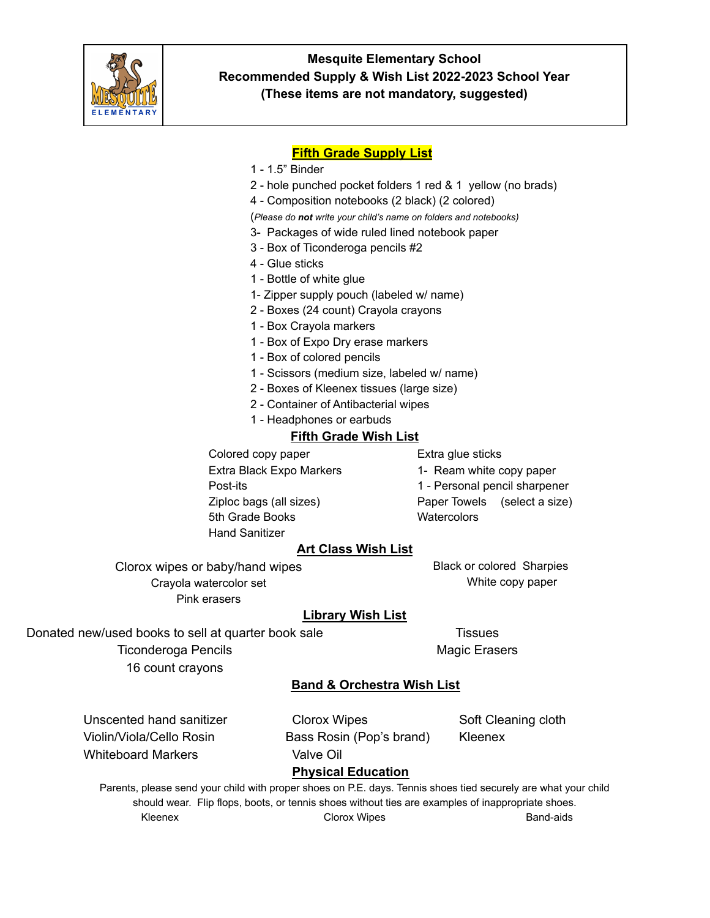

## **Fifth Grade Supply List**

- 1 1.5" Binder
- 2 hole punched pocket folders 1 red & 1 yellow (no brads)
- 4 Composition notebooks (2 black) (2 colored)

(*Please do not write your child's name on folders and notebooks)*

- 3- Packages of wide ruled lined notebook paper
- 3 Box of Ticonderoga pencils #2
- 4 Glue sticks
- 1 Bottle of white glue
- 1- Zipper supply pouch (labeled w/ name)
- 2 Boxes (24 count) Crayola crayons
- 1 Box Crayola markers
- 1 Box of Expo Dry erase markers
- 1 Box of colored pencils
- 1 Scissors (medium size, labeled w/ name)
- 2 Boxes of Kleenex tissues (large size)
- 2 Container of Antibacterial wipes
- 1 Headphones or earbuds

#### **Fifth Grade Wish List**

Colored copy paper Extra glue sticks Extra Black Expo Markers 1- Ream white copy paper 5th Grade Books Watercolors Hand Sanitizer

Post-its 1 - Personal pencil sharpener

Ziploc bags (all sizes) Paper Towels (select a size)

## **Art Class Wish List**

Clorox wipes or baby/hand wipes Crayola watercolor set Pink erasers

Black or colored Sharpies White copy paper

## **Library Wish List**

Donated new/used books to sell at quarter book sale

Ticonderoga Pencils

16 count crayons

**Tissues** Magic Erasers

## **Band & Orchestra Wish List**

Whiteboard Markers **Valve Oil** 

Unscented hand sanitizer Clorox Wipes Soft Cleaning cloth Violin/Viola/Cello Rosin Bass Rosin (Pop's brand) Kleenex

**Physical Education**

Parents, please send your child with proper shoes on P.E. days. Tennis shoes tied securely are what your child should wear. Flip flops, boots, or tennis shoes without ties are examples of inappropriate shoes. Kleenex **Clorox Wipes** Clorox Of Clorox Nines **Band-aids**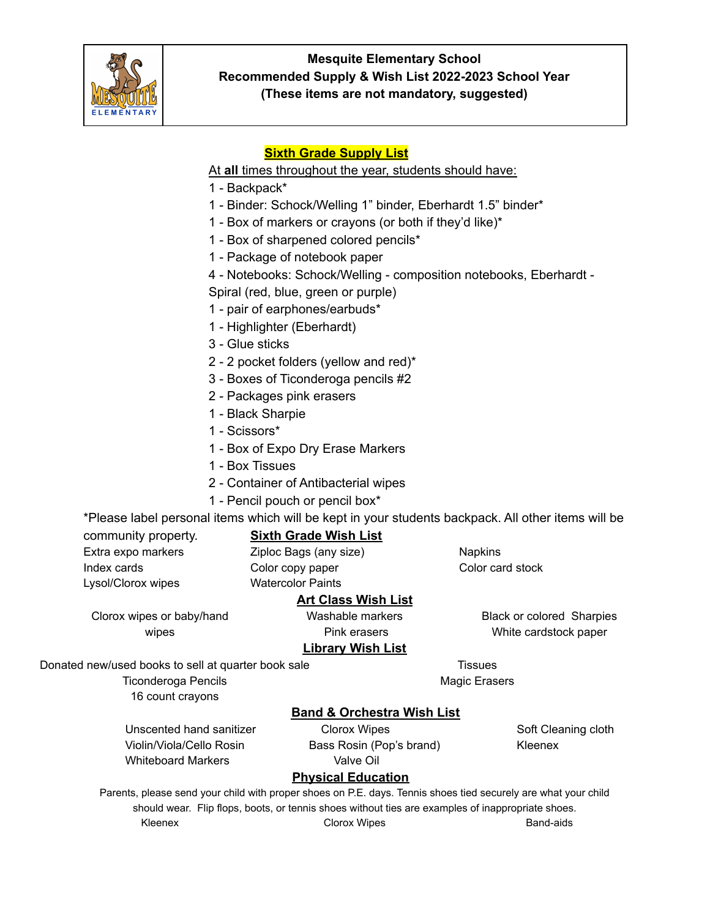

# **Sixth Grade Supply List**

At **all** times throughout the year, students should have:

- 1 Backpack\*
- 1 Binder: Schock/Welling 1" binder, Eberhardt 1.5" binder\*
- 1 Box of markers or crayons (or both if they'd like)\*
- 1 Box of sharpened colored pencils\*
- 1 Package of notebook paper
- 4 Notebooks: Schock/Welling composition notebooks, Eberhardt Spiral (red, blue, green or purple)
- 1 pair of earphones/earbuds\*
- 1 Highlighter (Eberhardt)
- 3 Glue sticks
- 2 2 pocket folders (yellow and red)\*
- 3 Boxes of Ticonderoga pencils #2
- 2 Packages pink erasers
- 1 Black Sharpie
- 1 Scissors\*
- 1 Box of Expo Dry Erase Markers
- 1 Box Tissues
- 2 Container of Antibacterial wipes
- 1 Pencil pouch or pencil box\*

\*Please label personal items which will be kept in your students backpack. All other items will be

Extra expo markers **Extra expo markers** Ziploc Bags (any size) **Napkins** Index cards Color copy paper Color card stock Lysol/Clorox wipes Watercolor Paints

# community property. **Sixth Grade Wish List**

Clorox wipes or baby/hand wipes

# **Art Class Wish List**

Washable markers Pink erasers **Library Wish List** Black or colored Sharpies White cardstock paper

**Tissues** Magic Erasers

Donated new/used books to sell at quarter book sale

Ticonderoga Pencils

16 count crayons

# **Band & Orchestra Wish List**

Whiteboard Markers **Valve Oil** 

Unscented hand sanitizer Clorox Wipes Content Content Content Content Content Content Content Content Content Content Content Content Content Content Content Content Content Content Content Content Content Content Content Violin/Viola/Cello Rosin **Bass Rosin (Pop's brand)** Kleenex

# **Physical Education**

Parents, please send your child with proper shoes on P.E. days. Tennis shoes tied securely are what your child should wear. Flip flops, boots, or tennis shoes without ties are examples of inappropriate shoes. Kleenex **Clorox Wipes** Corox Communications and Band-aids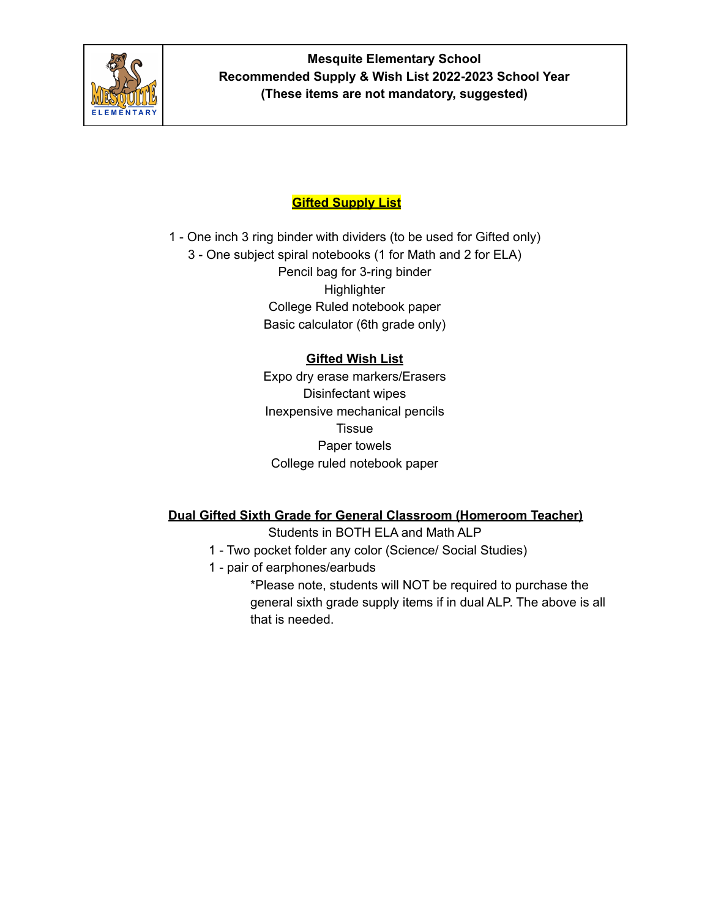

# **Gifted Supply List**

1 - One inch 3 ring binder with dividers (to be used for Gifted only) 3 - One subject spiral notebooks (1 for Math and 2 for ELA) Pencil bag for 3-ring binder **Highlighter** College Ruled notebook paper Basic calculator (6th grade only)

# **Gifted Wish List**

Expo dry erase markers/Erasers Disinfectant wipes Inexpensive mechanical pencils **Tissue** Paper towels College ruled notebook paper

# **Dual Gifted Sixth Grade for General Classroom (Homeroom Teacher)**

Students in BOTH ELA and Math ALP

- 1 Two pocket folder any color (Science/ Social Studies)
- 1 pair of earphones/earbuds

\*Please note, students will NOT be required to purchase the general sixth grade supply items if in dual ALP. The above is all that is needed.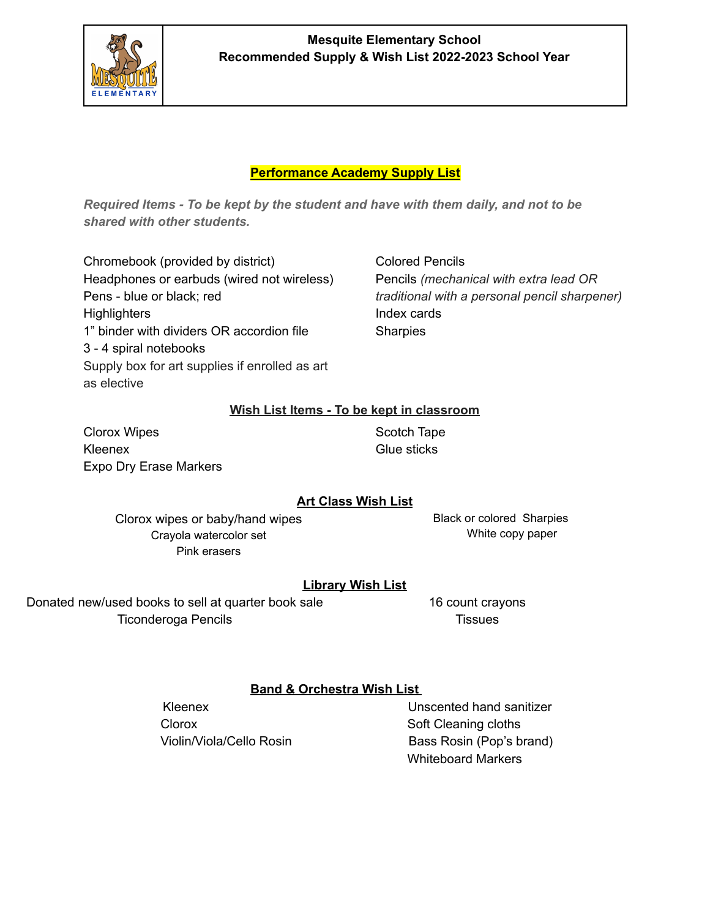

## **Mesquite Elementary School Recommended Supply & Wish List 2022-2023 School Year**

#### **Performance Academy Supply List**

*Required Items - To be kept by the student and have with them daily, and not to be shared with other students.*

Chromebook (provided by district) Headphones or earbuds (wired not wireless) Pens - blue or black; red **Highlighters** 1" binder with dividers OR accordion file 3 - 4 spiral notebooks Supply box for art supplies if enrolled as art as elective

Colored Pencils Pencils *(mechanical with extra lead OR traditional with a personal pencil sharpener)* Index cards **Sharpies** 

#### **Wish List Items - To be kept in classroom**

Clorox Wipes Kleenex Expo Dry Erase Markers Scotch Tape Glue sticks

#### **Art Class Wish List**

Clorox wipes or baby/hand wipes Crayola watercolor set Pink erasers

Black or colored Sharpies White copy paper

#### **Library Wish List**

Donated new/used books to sell at quarter book sale Ticonderoga Pencils

16 count crayons **Tissues** 

#### **Band & Orchestra Wish List**

Clorox Soft Cleaning cloths

Kleenex Unscented hand sanitizer Violin/Viola/Cello Rosin Bass Rosin (Pop's brand) Whiteboard Markers